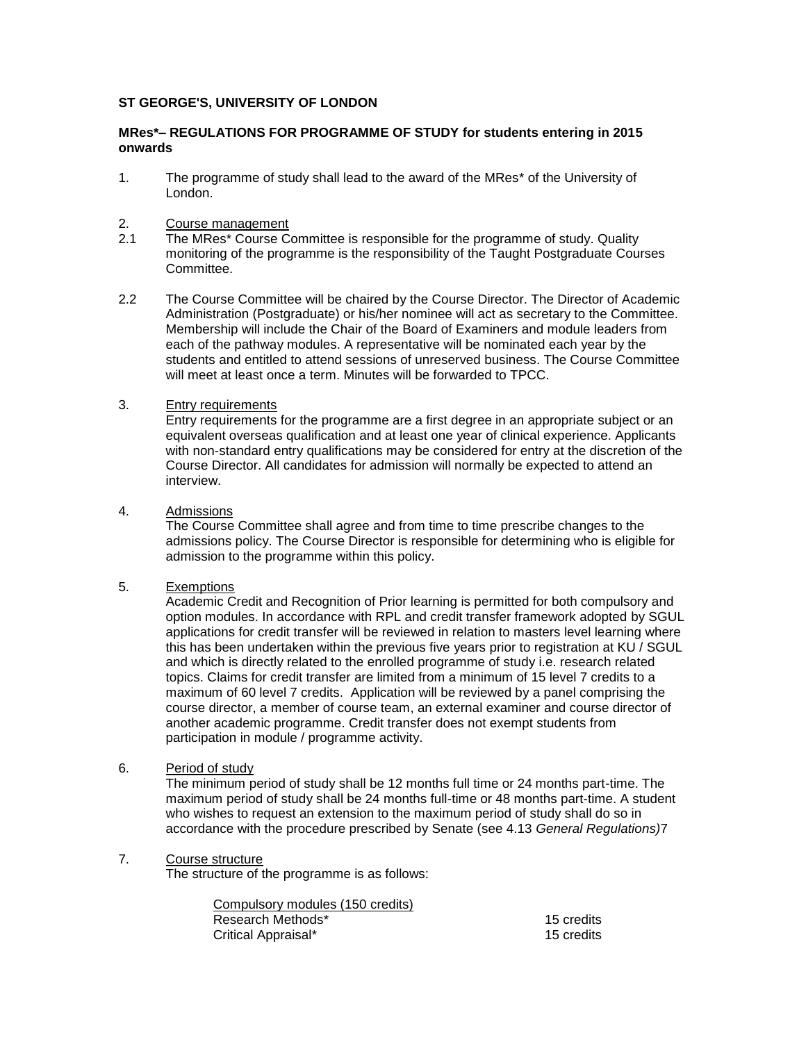# **ST GEORGE'S, UNIVERSITY OF LONDON**

### **MRes\*– REGULATIONS FOR PROGRAMME OF STUDY for students entering in 2015 onwards**

1. The programme of study shall lead to the award of the MRes\* of the University of London.

# 2. Course management<br>2.1 The MRes<sup>\*</sup> Course Co

- The MRes<sup>\*</sup> Course Committee is responsible for the programme of study. Quality monitoring of the programme is the responsibility of the Taught Postgraduate Courses Committee.
- 2.2 The Course Committee will be chaired by the Course Director. The Director of Academic Administration (Postgraduate) or his/her nominee will act as secretary to the Committee. Membership will include the Chair of the Board of Examiners and module leaders from each of the pathway modules. A representative will be nominated each year by the students and entitled to attend sessions of unreserved business. The Course Committee will meet at least once a term. Minutes will be forwarded to TPCC.

# 3. Entry requirements

Entry requirements for the programme are a first degree in an appropriate subject or an equivalent overseas qualification and at least one year of clinical experience. Applicants with non-standard entry qualifications may be considered for entry at the discretion of the Course Director. All candidates for admission will normally be expected to attend an interview.

# 4. Admissions

The Course Committee shall agree and from time to time prescribe changes to the admissions policy. The Course Director is responsible for determining who is eligible for admission to the programme within this policy.

#### 5. Exemptions

Academic Credit and Recognition of Prior learning is permitted for both compulsory and option modules. In accordance with RPL and credit transfer framework adopted by SGUL applications for credit transfer will be reviewed in relation to masters level learning where this has been undertaken within the previous five years prior to registration at KU / SGUL and which is directly related to the enrolled programme of study i.e. research related topics. Claims for credit transfer are limited from a minimum of 15 level 7 credits to a maximum of 60 level 7 credits. Application will be reviewed by a panel comprising the course director, a member of course team, an external examiner and course director of another academic programme. Credit transfer does not exempt students from participation in module / programme activity.

6. Period of study

The minimum period of study shall be 12 months full time or 24 months part-time. The maximum period of study shall be 24 months full-time or 48 months part-time. A student who wishes to request an extension to the maximum period of study shall do so in accordance with the procedure prescribed by Senate (see 4.13 *General Regulations)*7

#### 7. Course structure

The structure of the programme is as follows:

| 15 credits |
|------------|
| 15 credits |
|            |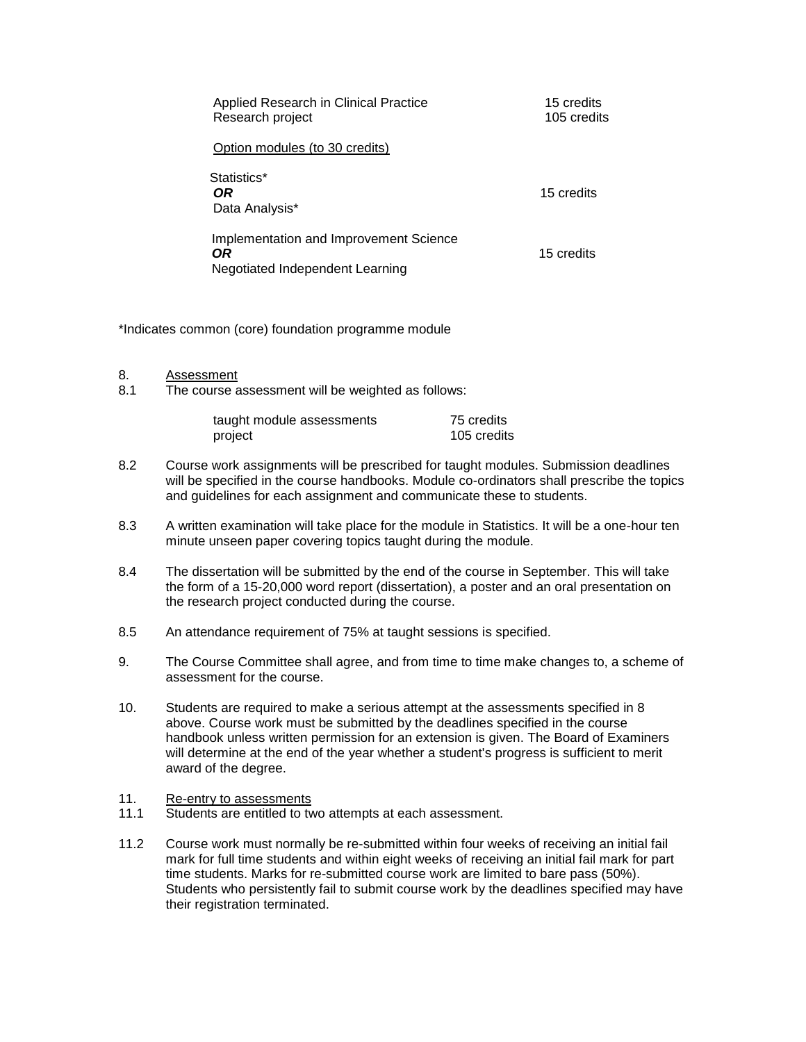| Applied Research in Clinical Practice<br>Research project                        | 15 credits<br>105 credits |
|----------------------------------------------------------------------------------|---------------------------|
| Option modules (to 30 credits)                                                   |                           |
| Statistics*<br>0R<br>Data Analysis*                                              | 15 credits                |
| Implementation and Improvement Science<br>OR.<br>Negotiated Independent Learning | 15 credits                |

\*Indicates common (core) foundation programme module

- 8. Assessment<br>8.1 The course a
- The course assessment will be weighted as follows:

| taught module assessments | 75 credits  |
|---------------------------|-------------|
| project                   | 105 credits |

- 8.2 Course work assignments will be prescribed for taught modules. Submission deadlines will be specified in the course handbooks. Module co-ordinators shall prescribe the topics and guidelines for each assignment and communicate these to students.
- 8.3 A written examination will take place for the module in Statistics. It will be a one-hour ten minute unseen paper covering topics taught during the module.
- 8.4 The dissertation will be submitted by the end of the course in September. This will take the form of a 15-20,000 word report (dissertation), a poster and an oral presentation on the research project conducted during the course.
- 8.5 An attendance requirement of 75% at taught sessions is specified.
- 9. The Course Committee shall agree, and from time to time make changes to, a scheme of assessment for the course.
- 10. Students are required to make a serious attempt at the assessments specified in 8 above. Course work must be submitted by the deadlines specified in the course handbook unless written permission for an extension is given. The Board of Examiners will determine at the end of the year whether a student's progress is sufficient to merit award of the degree.
- 11. Re-entry to assessments
- 11.1 Students are entitled to two attempts at each assessment.
- 11.2 Course work must normally be re-submitted within four weeks of receiving an initial fail mark for full time students and within eight weeks of receiving an initial fail mark for part time students. Marks for re-submitted course work are limited to bare pass (50%). Students who persistently fail to submit course work by the deadlines specified may have their registration terminated.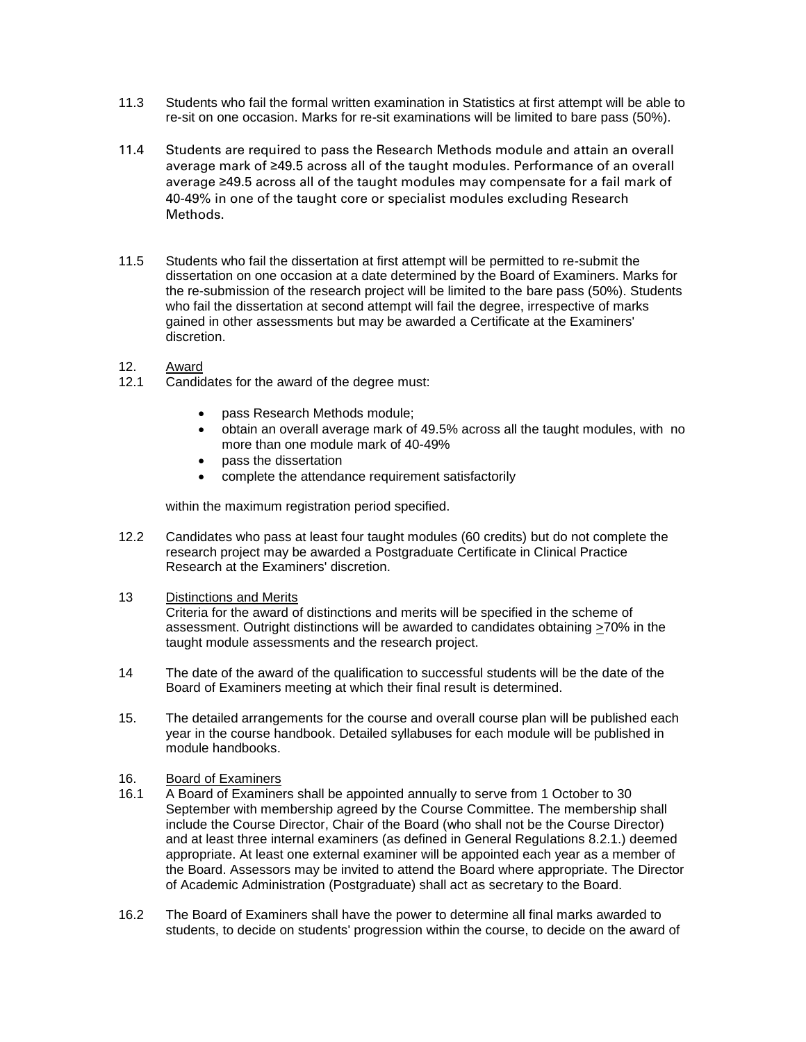- 11.3 Students who fail the formal written examination in Statistics at first attempt will be able to re-sit on one occasion. Marks for re-sit examinations will be limited to bare pass (50%).
- 11.4 Students are required to pass the Research Methods module and attain an overall average mark of ≥49.5 across all of the taught modules. Performance of an overall average ≥49.5 across all of the taught modules may compensate for a fail mark of 40-49% in one of the taught core or specialist modules excluding Research Methods.
- 11.5 Students who fail the dissertation at first attempt will be permitted to re-submit the dissertation on one occasion at a date determined by the Board of Examiners. Marks for the re-submission of the research project will be limited to the bare pass (50%). Students who fail the dissertation at second attempt will fail the degree, irrespective of marks gained in other assessments but may be awarded a Certificate at the Examiners' discretion.
- 12. Award
- 12.1 Candidates for the award of the degree must:
	- pass Research Methods module;
	- obtain an overall average mark of 49.5% across all the taught modules, with no more than one module mark of 40-49%
	- pass the dissertation
	- complete the attendance requirement satisfactorily

within the maximum registration period specified.

- 12.2 Candidates who pass at least four taught modules (60 credits) but do not complete the research project may be awarded a Postgraduate Certificate in Clinical Practice Research at the Examiners' discretion.
- 13 Distinctions and Merits

Criteria for the award of distinctions and merits will be specified in the scheme of assessment. Outright distinctions will be awarded to candidates obtaining >70% in the taught module assessments and the research project.

- 14 The date of the award of the qualification to successful students will be the date of the Board of Examiners meeting at which their final result is determined.
- 15. The detailed arrangements for the course and overall course plan will be published each year in the course handbook. Detailed syllabuses for each module will be published in module handbooks.
- 16. Board of Examiners
- 16.1 A Board of Examiners shall be appointed annually to serve from 1 October to 30 September with membership agreed by the Course Committee. The membership shall include the Course Director, Chair of the Board (who shall not be the Course Director) and at least three internal examiners (as defined in General Regulations 8.2.1.) deemed appropriate. At least one external examiner will be appointed each year as a member of the Board. Assessors may be invited to attend the Board where appropriate. The Director of Academic Administration (Postgraduate) shall act as secretary to the Board.
- 16.2 The Board of Examiners shall have the power to determine all final marks awarded to students, to decide on students' progression within the course, to decide on the award of